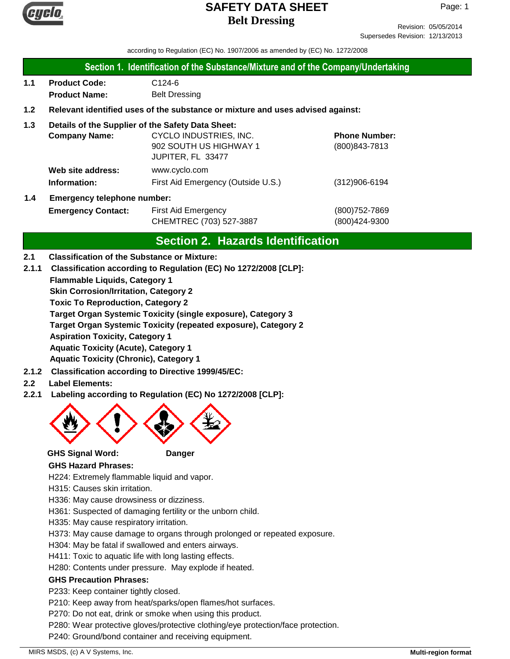

Revision: 05/05/2014 Supersedes Revision: 12/13/2013

according to Regulation (EC) No. 1907/2006 as amended by (EC) No. 1272/2008

### **Section 1. Identification of the Substance/Mixture and of the Company/Undertaking**

**1.1 Product Code:** C124-6 **Product Name:** Belt Dressing

### **1.2 Relevant identified uses of the substance or mixture and uses advised against:**

### **1.3 Details of the Supplier of the Safety Data Sheet:**

|                        | <b>Company Name:</b>       | CYCLO INDUSTRIES, INC.             | <b>Phone Number:</b> |
|------------------------|----------------------------|------------------------------------|----------------------|
|                        |                            | 902 SOUTH US HIGHWAY 1             | (800) 843-7813       |
|                        |                            | JUPITER, FL 33477                  |                      |
|                        | Web site address:          | www.cyclo.com                      |                      |
|                        | Information:               | First Aid Emergency (Outside U.S.) | $(312)906 - 6194$    |
| $\boldsymbol{\Lambda}$ | Emergency telephone number |                                    |                      |

# **1.4 Emergency telephone number:**

**Emergency Contact:** First Aid Emergency **Emergency** (800)752-7869 CHEMTREC (703) 527-3887 (800)424-9300

## **Section 2. Hazards Identification**

### **2.1 Classification of the Substance or Mixture:**

**2.1.1 Classification according to Regulation (EC) No 1272/2008 [CLP]:**

**Flammable Liquids, Category 1**

**Skin Corrosion/Irritation, Category 2**

**Toxic To Reproduction, Category 2**

**Target Organ Systemic Toxicity (single exposure), Category 3**

**Target Organ Systemic Toxicity (repeated exposure), Category 2**

**Aspiration Toxicity, Category 1**

**Aquatic Toxicity (Acute), Category 1**

**Aquatic Toxicity (Chronic), Category 1**

- **2.1.2 Classification according to Directive 1999/45/EC:**
- **2.2 Label Elements:**
- **2.2.1 Labeling according to Regulation (EC) No 1272/2008 [CLP]:**



### **GHS Signal Word: Danger**

### **GHS Hazard Phrases:**

H224: Extremely flammable liquid and vapor.

- H315: Causes skin irritation.
- H336: May cause drowsiness or dizziness.
- H361: Suspected of damaging fertility or the unborn child.
- H335: May cause respiratory irritation.
- H373: May cause damage to organs through prolonged or repeated exposure.
- H304: May be fatal if swallowed and enters airways.
- H411: Toxic to aquatic life with long lasting effects.
- H280: Contents under pressure. May explode if heated.

### **GHS Precaution Phrases:**

P233: Keep container tightly closed.

- P210: Keep away from heat/sparks/open flames/hot surfaces.
- P270: Do not eat, drink or smoke when using this product.
- P280: Wear protective gloves/protective clothing/eye protection/face protection.
- P240: Ground/bond container and receiving equipment.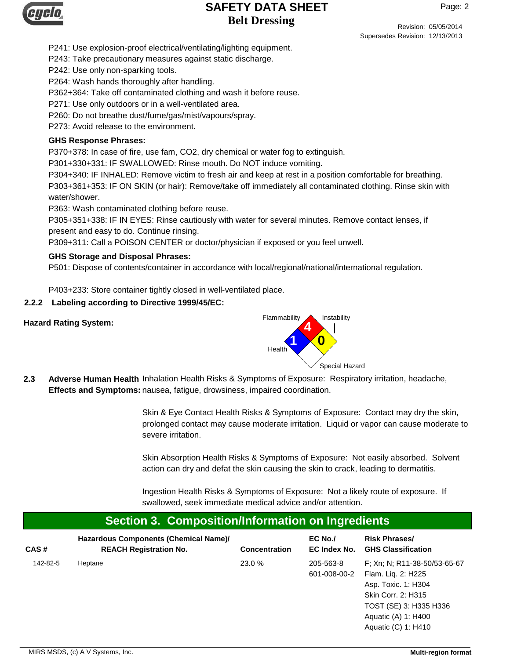

Revision: 05/05/2014

Supersedes Revision: 12/13/2013

Page: 2

P241: Use explosion-proof electrical/ventilating/lighting equipment.

P243: Take precautionary measures against static discharge.

P242: Use only non-sparking tools.

P264: Wash hands thoroughly after handling.

P362+364: Take off contaminated clothing and wash it before reuse.

P271: Use only outdoors or in a well-ventilated area.

P260: Do not breathe dust/fume/gas/mist/vapours/spray.

P273: Avoid release to the environment.

#### **GHS Response Phrases:**

P370+378: In case of fire, use fam, CO2, dry chemical or water fog to extinguish.

P301+330+331: IF SWALLOWED: Rinse mouth. Do NOT induce vomiting.

P304+340: IF INHALED: Remove victim to fresh air and keep at rest in a position comfortable for breathing. P303+361+353: IF ON SKIN (or hair): Remove/take off immediately all contaminated clothing. Rinse skin with water/shower.

P363: Wash contaminated clothing before reuse.

P305+351+338: IF IN EYES: Rinse cautiously with water for several minutes. Remove contact lenses, if present and easy to do. Continue rinsing.

P309+311: Call a POISON CENTER or doctor/physician if exposed or you feel unwell.

#### **GHS Storage and Disposal Phrases:**

P501: Dispose of contents/container in accordance with local/regional/national/international regulation.

P403+233: Store container tightly closed in well-ventilated place.

#### **2.2.2 Labeling according to Directive 1999/45/EC:**





2.3 Adverse Human Health Inhalation Health Risks & Symptoms of Exposure: Respiratory irritation, headache, Effects and Symptoms: nausea, fatigue, drowsiness, impaired coordination.

> Skin & Eye Contact Health Risks & Symptoms of Exposure: Contact may dry the skin, prolonged contact may cause moderate irritation. Liquid or vapor can cause moderate to severe irritation.

Skin Absorption Health Risks & Symptoms of Exposure: Not easily absorbed. Solvent action can dry and defat the skin causing the skin to crack, leading to dermatitis.

Ingestion Health Risks & Symptoms of Exposure: Not a likely route of exposure. If swallowed, seek immediate medical advice and/or attention.

### **Section 3. Composition/Information on Ingredients**

| CAS#     | Hazardous Components (Chemical Name)/<br><b>REACH Registration No.</b> | <b>Concentration</b> | $EC$ No./<br>EC Index No. | <b>Risk Phrases/</b><br><b>GHS Classification</b>                                                                         |
|----------|------------------------------------------------------------------------|----------------------|---------------------------|---------------------------------------------------------------------------------------------------------------------------|
| 142-82-5 | Heptane                                                                | 23.0 %               | 205-563-8<br>601-008-00-2 | F: Xn: N: R11-38-50/53-65-67<br>Flam. Lig. 2: H225<br>Asp. Toxic. 1: H304<br>Skin Corr. 2: H315<br>TOST (SE) 3: H335 H336 |
|          |                                                                        |                      |                           | Aguatic (A) 1: H400<br>Aquatic (C) 1: H410                                                                                |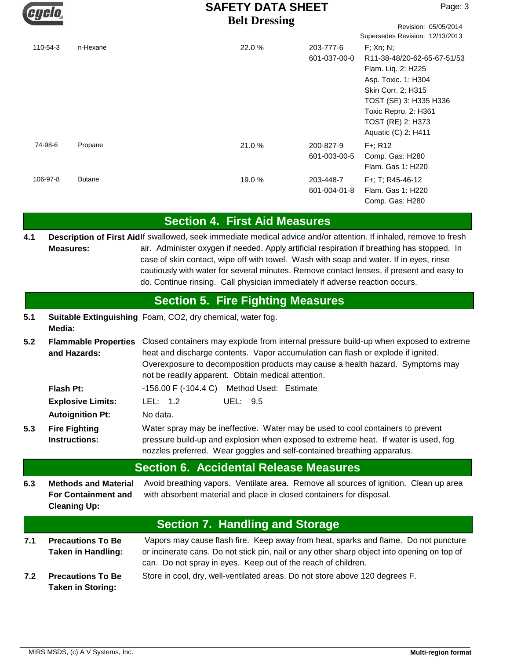

Revision: 05/05/2014

|          |               |        |                           | Supersedes Revision: 12/13/2013                                                                                                                                                                              |
|----------|---------------|--------|---------------------------|--------------------------------------------------------------------------------------------------------------------------------------------------------------------------------------------------------------|
| 110-54-3 | n-Hexane      | 22.0 % | 203-777-6<br>601-037-00-0 | $F$ ; Xn; N;<br>R11-38-48/20-62-65-67-51/53<br>Flam. Liq. 2: H225<br>Asp. Toxic. 1: H304<br>Skin Corr. 2: H315<br>TOST (SE) 3: H335 H336<br>Toxic Repro. 2: H361<br>TOST (RE) 2: H373<br>Aquatic (C) 2: H411 |
| 74-98-6  | Propane       | 21.0 % | 200-827-9<br>601-003-00-5 | $F + R12$<br>Comp. Gas: H280<br>Flam. Gas 1: H220                                                                                                                                                            |
| 106-97-8 | <b>Butane</b> | 19.0 % | 203-448-7<br>601-004-01-8 | F+: T: R45-46-12<br>Flam, Gas 1: H220<br>Comp. Gas: H280                                                                                                                                                     |

## **Section 4. First Aid Measures**

Description of First Aidlf swallowed, seek immediate medical advice and/or attention. If inhaled, remove to fresh air. Administer oxygen if needed. Apply artificial respiration if breathing has stopped. In case of skin contact, wipe off with towel. Wash with soap and water. If in eyes, rinse cautiously with water for several minutes. Remove contact lenses, if present and easy to do. Continue rinsing. Call physician immediately if adverse reaction occurs. **Measures: 4.1**

## **Section 5. Fire Fighting Measures**

| 5.1 |        | Suitable Extinguishing Foam, CO2, dry chemical, water fog. |
|-----|--------|------------------------------------------------------------|
|     | Media: |                                                            |

**5.2** Flammable Properties Closed containers may explode from internal pressure build-up when exposed to extreme heat and discharge contents. Vapor accumulation can flash or explode if ignited. Overexposure to decomposition products may cause a health hazard. Symptoms may not be readily apparent. Obtain medical attention. **and Hazards:**

| Flash Pt: | $-156.00$ F $(-104.4 \text{ C})$ Method Used: Estimate |  |
|-----------|--------------------------------------------------------|--|
|           |                                                        |  |

**Autoignition Pt:** No data. **Explosive Limits:** LEL: 1.2 UEL: 9.5

Water spray may be ineffective. Water may be used to cool containers to prevent pressure build-up and explosion when exposed to extreme heat. If water is used, fog nozzles preferred. Wear goggles and self-contained breathing apparatus. **Fire Fighting Instructions: 5.3**

## **Section 6. Accidental Release Measures**

**6.3** Avoid breathing vapors. Ventilate area. Remove all sources of ignition. Clean up area with absorbent material and place in closed containers for disposal. **Methods and Material For Containment and Cleaning Up:**

## **Section 7. Handling and Storage**

- **7.1 7.2** Vapors may cause flash fire. Keep away from heat, sparks and flame. Do not puncture or incinerate cans. Do not stick pin, nail or any other sharp object into opening on top of can. Do not spray in eyes. Keep out of the reach of children. **Precautions To Be Taken in Handling:**
- **Precautions To Be** Store in cool, dry, well-ventilated areas. Do not store above 120 degrees F. **Taken in Storing:**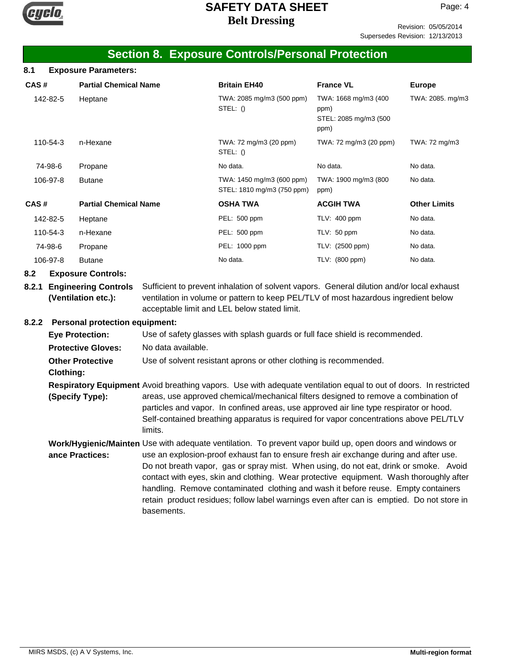

Revision: 05/05/2014 Supersedes Revision: 12/13/2013

## **Section 8. Exposure Controls/Personal Protection**

| 8.1  | <b>Exposure Parameters:</b> |                              |                                                         |                                                               |                     |  |
|------|-----------------------------|------------------------------|---------------------------------------------------------|---------------------------------------------------------------|---------------------|--|
| CAS# |                             | <b>Partial Chemical Name</b> | <b>Britain EH40</b>                                     | <b>France VL</b>                                              | <b>Europe</b>       |  |
|      | 142-82-5                    | Heptane                      | TWA: 2085 mg/m3 (500 ppm)<br>STEL: ()                   | TWA: 1668 mg/m3 (400<br>ppm)<br>STEL: 2085 mg/m3 (500<br>ppm) | TWA: 2085. mg/m3    |  |
|      | 110-54-3                    | n-Hexane                     | TWA: 72 mg/m3 (20 ppm)<br>STEL: ()                      | TWA: 72 mg/m3 (20 ppm)                                        | TWA: 72 mg/m3       |  |
|      | 74-98-6                     | Propane                      | No data.                                                | No data.                                                      | No data.            |  |
|      | 106-97-8                    | <b>Butane</b>                | TWA: 1450 mg/m3 (600 ppm)<br>STEL: 1810 mg/m3 (750 ppm) | TWA: 1900 mg/m3 (800<br>ppm)                                  | No data.            |  |
| CAS# |                             | <b>Partial Chemical Name</b> | <b>OSHA TWA</b>                                         | <b>ACGIH TWA</b>                                              | <b>Other Limits</b> |  |
|      | 142-82-5                    | Heptane                      | PEL: 500 ppm                                            | TLV: 400 ppm                                                  | No data.            |  |
|      | 110-54-3                    | n-Hexane                     | PEL: 500 ppm                                            | TLV: 50 ppm                                                   | No data.            |  |
|      | 74-98-6                     | Propane                      | PEL: 1000 ppm                                           | TLV: (2500 ppm)                                               | No data.            |  |
|      | 106-97-8                    | <b>Butane</b>                | No data.                                                | TLV: (800 ppm)                                                | No data.            |  |

### **8.2 Exposure Controls:**

**8.2.1 Engineering Controls** Sufficient to prevent inhalation of solvent vapors. General dilution and/or local exhaust ventilation in volume or pattern to keep PEL/TLV of most hazardous ingredient below acceptable limit and LEL below stated limit. **(Ventilation etc.):**

### **8.2.2 Personal protection equipment:**

| <u>r craonar protection cquipment.</u> |                                                                                                                                                                                                                                                                                                                                                                                                                                                                                                                                                                                       |
|----------------------------------------|---------------------------------------------------------------------------------------------------------------------------------------------------------------------------------------------------------------------------------------------------------------------------------------------------------------------------------------------------------------------------------------------------------------------------------------------------------------------------------------------------------------------------------------------------------------------------------------|
| <b>Eye Protection:</b>                 | Use of safety glasses with splash guards or full face shield is recommended.                                                                                                                                                                                                                                                                                                                                                                                                                                                                                                          |
| <b>Protective Gloves:</b>              | No data available.                                                                                                                                                                                                                                                                                                                                                                                                                                                                                                                                                                    |
| <b>Other Protective</b>                | Use of solvent resistant aprons or other clothing is recommended.                                                                                                                                                                                                                                                                                                                                                                                                                                                                                                                     |
| <b>Clothing:</b>                       |                                                                                                                                                                                                                                                                                                                                                                                                                                                                                                                                                                                       |
| (Specify Type):                        | Respiratory Equipment Avoid breathing vapors. Use with adequate ventilation equal to out of doors. In restricted<br>areas, use approved chemical/mechanical filters designed to remove a combination of<br>particles and vapor. In confined areas, use approved air line type respirator or hood.<br>Self-contained breathing apparatus is required for vapor concentrations above PEL/TLV<br>limits.                                                                                                                                                                                 |
| ance Practices:                        | Work/Hygienic/Mainten Use with adequate ventilation. To prevent vapor build up, open doors and windows or<br>use an explosion-proof exhaust fan to ensure fresh air exchange during and after use.<br>Do not breath vapor, gas or spray mist. When using, do not eat, drink or smoke. Avoid<br>contact with eyes, skin and clothing. Wear protective equipment. Wash thoroughly after<br>handling. Remove contaminated clothing and wash it before reuse. Empty containers<br>retain product residues; follow label warnings even after can is emptied. Do not store in<br>basements. |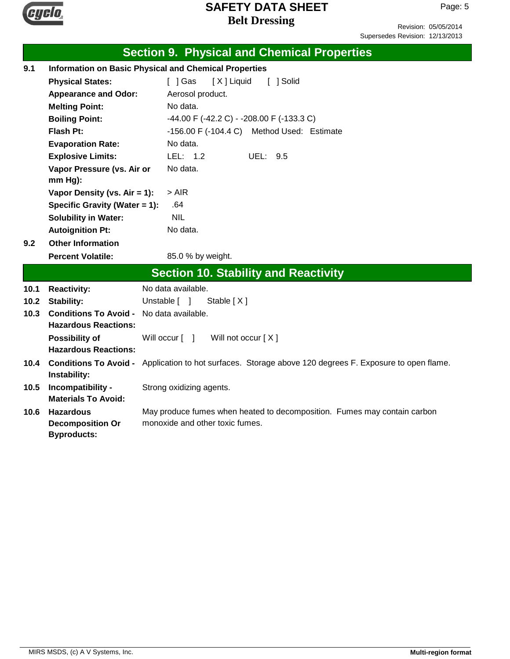

Revision: 05/05/2014 Supersedes Revision: 12/13/2013

|      |                                                                   | <b>Section 9. Physical and Chemical Properties</b>                                                          |  |  |  |
|------|-------------------------------------------------------------------|-------------------------------------------------------------------------------------------------------------|--|--|--|
| 9.1  | <b>Information on Basic Physical and Chemical Properties</b>      |                                                                                                             |  |  |  |
|      | <b>Physical States:</b>                                           | [ ] Gas<br>[X] Liquid<br>[ ] Solid                                                                          |  |  |  |
|      | <b>Appearance and Odor:</b>                                       | Aerosol product.                                                                                            |  |  |  |
|      | <b>Melting Point:</b>                                             | No data.                                                                                                    |  |  |  |
|      | <b>Boiling Point:</b>                                             | -44.00 F (-42.2 C) - -208.00 F (-133.3 C)                                                                   |  |  |  |
|      | Flash Pt:                                                         | $-156.00$ F $(-104.4$ C) Method Used: Estimate                                                              |  |  |  |
|      | <b>Evaporation Rate:</b>                                          | No data.                                                                                                    |  |  |  |
|      | <b>Explosive Limits:</b>                                          | LEL: 1.2<br>UEL:<br>9.5                                                                                     |  |  |  |
|      | Vapor Pressure (vs. Air or                                        | No data.                                                                                                    |  |  |  |
|      | mm Hg):                                                           |                                                                                                             |  |  |  |
|      | Vapor Density (vs. $Air = 1$ ):                                   | $>$ AIR                                                                                                     |  |  |  |
|      | Specific Gravity (Water = 1):                                     | .64                                                                                                         |  |  |  |
|      | <b>Solubility in Water:</b>                                       | <b>NIL</b>                                                                                                  |  |  |  |
|      | <b>Autoignition Pt:</b>                                           | No data.                                                                                                    |  |  |  |
| 9.2  | <b>Other Information</b>                                          |                                                                                                             |  |  |  |
|      | <b>Percent Volatile:</b>                                          | 85.0 % by weight.                                                                                           |  |  |  |
|      |                                                                   | <b>Section 10. Stability and Reactivity</b>                                                                 |  |  |  |
| 10.1 | <b>Reactivity:</b>                                                | No data available.                                                                                          |  |  |  |
| 10.2 | <b>Stability:</b>                                                 | Unstable [ ]<br>Stable $[X]$                                                                                |  |  |  |
| 10.3 | <b>Conditions To Avoid -</b><br><b>Hazardous Reactions:</b>       | No data available.                                                                                          |  |  |  |
|      | <b>Possibility of</b><br><b>Hazardous Reactions:</b>              | Will occur $\lceil \quad \rceil$<br>Will not occur $[X]$                                                    |  |  |  |
| 10.4 | Instability:                                                      | Conditions To Avoid - Application to hot surfaces. Storage above 120 degrees F. Exposure to open flame.     |  |  |  |
| 10.5 | Incompatibility -<br><b>Materials To Avoid:</b>                   | Strong oxidizing agents.                                                                                    |  |  |  |
| 10.6 | <b>Hazardous</b><br><b>Decomposition Or</b><br><b>Byproducts:</b> | May produce fumes when heated to decomposition. Fumes may contain carbon<br>monoxide and other toxic fumes. |  |  |  |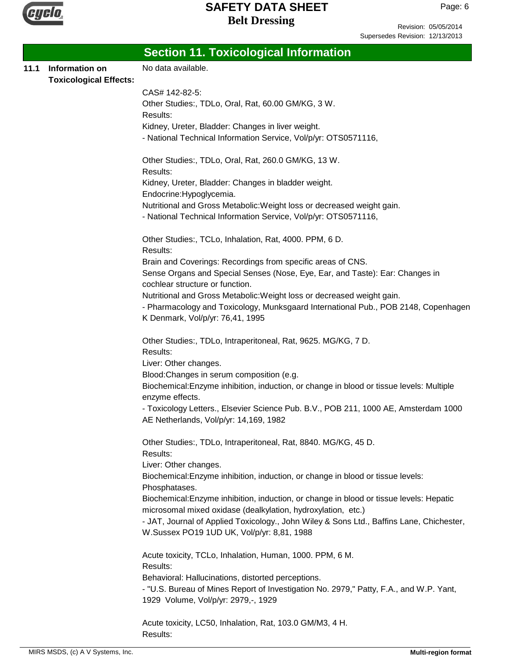

Revision: 05/05/2014 Supersedes Revision: 12/13/2013

|      |                                                 | <b>Section 11. Toxicological Information</b>                                                                                                                 |
|------|-------------------------------------------------|--------------------------------------------------------------------------------------------------------------------------------------------------------------|
| 11.1 | Information on<br><b>Toxicological Effects:</b> | No data available.                                                                                                                                           |
|      |                                                 | CAS# 142-82-5:                                                                                                                                               |
|      |                                                 | Other Studies:, TDLo, Oral, Rat, 60.00 GM/KG, 3 W.<br>Results:                                                                                               |
|      |                                                 | Kidney, Ureter, Bladder: Changes in liver weight.                                                                                                            |
|      |                                                 | - National Technical Information Service, Vol/p/yr: OTS0571116,                                                                                              |
|      |                                                 | Other Studies:, TDLo, Oral, Rat, 260.0 GM/KG, 13 W.<br>Results:                                                                                              |
|      |                                                 | Kidney, Ureter, Bladder: Changes in bladder weight.<br>Endocrine: Hypoglycemia.                                                                              |
|      |                                                 | Nutritional and Gross Metabolic: Weight loss or decreased weight gain.                                                                                       |
|      |                                                 | - National Technical Information Service, Vol/p/yr: OTS0571116,                                                                                              |
|      |                                                 | Other Studies:, TCLo, Inhalation, Rat, 4000. PPM, 6 D.<br>Results:                                                                                           |
|      |                                                 | Brain and Coverings: Recordings from specific areas of CNS.<br>Sense Organs and Special Senses (Nose, Eye, Ear, and Taste): Ear: Changes in                  |
|      |                                                 | cochlear structure or function.                                                                                                                              |
|      |                                                 | Nutritional and Gross Metabolic: Weight loss or decreased weight gain.<br>- Pharmacology and Toxicology, Munksgaard International Pub., POB 2148, Copenhagen |
|      |                                                 | K Denmark, Vol/p/yr: 76,41, 1995                                                                                                                             |
|      |                                                 | Other Studies:, TDLo, Intraperitoneal, Rat, 9625. MG/KG, 7 D.<br>Results:                                                                                    |
|      |                                                 | Liver: Other changes.                                                                                                                                        |
|      |                                                 | Blood: Changes in serum composition (e.g.                                                                                                                    |
|      |                                                 | Biochemical: Enzyme inhibition, induction, or change in blood or tissue levels: Multiple<br>enzyme effects.                                                  |
|      |                                                 | - Toxicology Letters., Elsevier Science Pub. B.V., POB 211, 1000 AE, Amsterdam 1000<br>AE Netherlands, Vol/p/yr: 14,169, 1982                                |
|      |                                                 | Other Studies:, TDLo, Intraperitoneal, Rat, 8840. MG/KG, 45 D.<br>Results:                                                                                   |
|      |                                                 | Liver: Other changes.                                                                                                                                        |
|      |                                                 | Biochemical: Enzyme inhibition, induction, or change in blood or tissue levels:<br>Phosphatases.                                                             |
|      |                                                 | Biochemical: Enzyme inhibition, induction, or change in blood or tissue levels: Hepatic<br>microsomal mixed oxidase (dealkylation, hydroxylation, etc.)      |
|      |                                                 | - JAT, Journal of Applied Toxicology., John Wiley & Sons Ltd., Baffins Lane, Chichester,                                                                     |
|      |                                                 | W.Sussex PO19 1UD UK, Vol/p/yr: 8,81, 1988                                                                                                                   |
|      |                                                 | Acute toxicity, TCLo, Inhalation, Human, 1000. PPM, 6 M.                                                                                                     |
|      |                                                 | Results:<br>Behavioral: Hallucinations, distorted perceptions.                                                                                               |
|      |                                                 | - "U.S. Bureau of Mines Report of Investigation No. 2979," Patty, F.A., and W.P. Yant,                                                                       |
|      |                                                 | 1929 Volume, Vol/p/yr: 2979,-, 1929                                                                                                                          |
|      |                                                 | Acute toxicity, LC50, Inhalation, Rat, 103.0 GM/M3, 4 H.                                                                                                     |
|      |                                                 | Results:                                                                                                                                                     |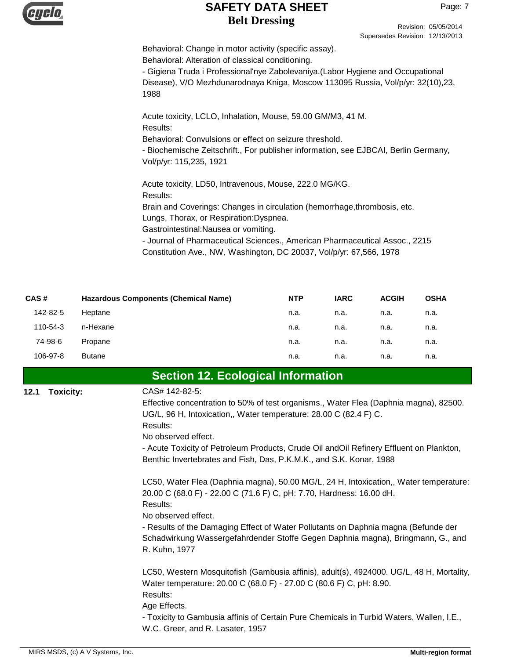

Revision: 05/05/2014 Supersedes Revision: 12/13/2013

Behavioral: Change in motor activity (specific assay). Behavioral: Alteration of classical conditioning.

- Gigiena Truda i Professional'nye Zabolevaniya.(Labor Hygiene and Occupational Disease), V/O Mezhdunarodnaya Kniga, Moscow 113095 Russia, Vol/p/yr: 32(10),23, 1988

Acute toxicity, LCLO, Inhalation, Mouse, 59.00 GM/M3, 41 M. Results: Behavioral: Convulsions or effect on seizure threshold.

- Biochemische Zeitschrift., For publisher information, see EJBCAI, Berlin Germany, Vol/p/yr: 115,235, 1921

Acute toxicity, LD50, Intravenous, Mouse, 222.0 MG/KG. Results: Brain and Coverings: Changes in circulation (hemorrhage,thrombosis, etc. Lungs, Thorax, or Respiration:Dyspnea. Gastrointestinal:Nausea or vomiting. - Journal of Pharmaceutical Sciences., American Pharmaceutical Assoc., 2215 Constitution Ave., NW, Washington, DC 20037, Vol/p/yr: 67,566, 1978

| CAS#     | <b>Hazardous Components (Chemical Name)</b> | <b>NTP</b> | <b>IARC</b> | <b>ACGIH</b> | <b>OSHA</b> |
|----------|---------------------------------------------|------------|-------------|--------------|-------------|
| 142-82-5 | Heptane                                     | n.a.       | n.a.        | n.a.         | n.a.        |
| 110-54-3 | n-Hexane                                    | n.a.       | n.a.        | n.a.         | n.a.        |
| 74-98-6  | Propane                                     | n.a.       | n.a.        | n.a.         | n.a.        |
| 106-97-8 | <b>Butane</b>                               | n.a.       | n.a.        | n.a.         | n.a.        |

## **Section 12. Ecological Information**

### **12.1** CAS# 142-82-5: **Toxicity:**

Effective concentration to 50% of test organisms., Water Flea (Daphnia magna), 82500. UG/L, 96 H, Intoxication,, Water temperature: 28.00 C (82.4 F) C. Results:

No observed effect.

- Acute Toxicity of Petroleum Products, Crude Oil andOil Refinery Effluent on Plankton, Benthic Invertebrates and Fish, Das, P.K.M.K., and S.K. Konar, 1988

LC50, Water Flea (Daphnia magna), 50.00 MG/L, 24 H, Intoxication,, Water temperature: 20.00 C (68.0 F) - 22.00 C (71.6 F) C, pH: 7.70, Hardness: 16.00 dH. Results:

No observed effect.

- Results of the Damaging Effect of Water Pollutants on Daphnia magna (Befunde der Schadwirkung Wassergefahrdender Stoffe Gegen Daphnia magna), Bringmann, G., and R. Kuhn, 1977

LC50, Western Mosquitofish (Gambusia affinis), adult(s), 4924000. UG/L, 48 H, Mortality, Water temperature: 20.00 C (68.0 F) - 27.00 C (80.6 F) C, pH: 8.90. Results: Age Effects. - Toxicity to Gambusia affinis of Certain Pure Chemicals in Turbid Waters, Wallen, I.E., W.C. Greer, and R. Lasater, 1957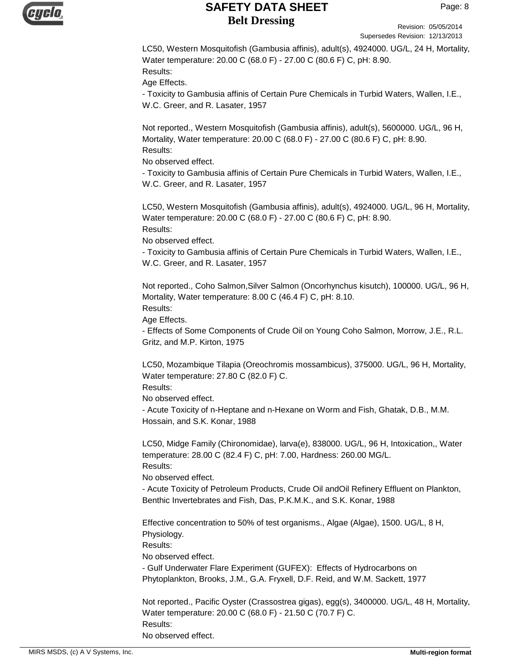

Revision: 05/05/2014 Supersedes Revision: 12/13/2013

LC50, Western Mosquitofish (Gambusia affinis), adult(s), 4924000. UG/L, 24 H, Mortality, Water temperature: 20.00 C (68.0 F) - 27.00 C (80.6 F) C, pH: 8.90. Results:

Age Effects.

- Toxicity to Gambusia affinis of Certain Pure Chemicals in Turbid Waters, Wallen, I.E., W.C. Greer, and R. Lasater, 1957

Not reported., Western Mosquitofish (Gambusia affinis), adult(s), 5600000. UG/L, 96 H, Mortality, Water temperature: 20.00 C (68.0 F) - 27.00 C (80.6 F) C, pH: 8.90. Results:

No observed effect.

- Toxicity to Gambusia affinis of Certain Pure Chemicals in Turbid Waters, Wallen, I.E., W.C. Greer, and R. Lasater, 1957

LC50, Western Mosquitofish (Gambusia affinis), adult(s), 4924000. UG/L, 96 H, Mortality, Water temperature: 20.00 C (68.0 F) - 27.00 C (80.6 F) C, pH: 8.90. Results:

No observed effect.

- Toxicity to Gambusia affinis of Certain Pure Chemicals in Turbid Waters, Wallen, I.E., W.C. Greer, and R. Lasater, 1957

Not reported., Coho Salmon,Silver Salmon (Oncorhynchus kisutch), 100000. UG/L, 96 H, Mortality, Water temperature: 8.00 C (46.4 F) C, pH: 8.10. Results:

Age Effects.

- Effects of Some Components of Crude Oil on Young Coho Salmon, Morrow, J.E., R.L. Gritz, and M.P. Kirton, 1975

LC50, Mozambique Tilapia (Oreochromis mossambicus), 375000. UG/L, 96 H, Mortality, Water temperature: 27.80 C (82.0 F) C.

Results:

No observed effect.

- Acute Toxicity of n-Heptane and n-Hexane on Worm and Fish, Ghatak, D.B., M.M. Hossain, and S.K. Konar, 1988

LC50, Midge Family (Chironomidae), larva(e), 838000. UG/L, 96 H, Intoxication,, Water temperature: 28.00 C (82.4 F) C, pH: 7.00, Hardness: 260.00 MG/L. Results:

No observed effect.

- Acute Toxicity of Petroleum Products, Crude Oil andOil Refinery Effluent on Plankton, Benthic Invertebrates and Fish, Das, P.K.M.K., and S.K. Konar, 1988

Effective concentration to 50% of test organisms., Algae (Algae), 1500. UG/L, 8 H, Physiology.

Results:

No observed effect.

- Gulf Underwater Flare Experiment (GUFEX): Effects of Hydrocarbons on Phytoplankton, Brooks, J.M., G.A. Fryxell, D.F. Reid, and W.M. Sackett, 1977

Not reported., Pacific Oyster (Crassostrea gigas), egg(s), 3400000. UG/L, 48 H, Mortality, Water temperature: 20.00 C (68.0 F) - 21.50 C (70.7 F) C. Results: No observed effect.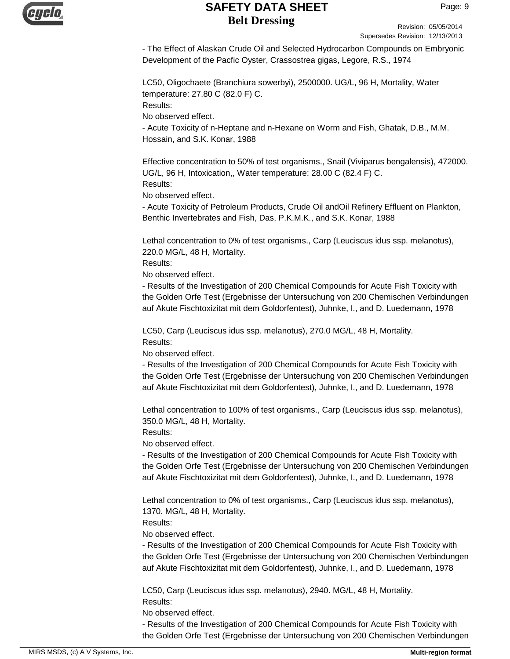

Revision: 05/05/2014 Supersedes Revision: 12/13/2013

- The Effect of Alaskan Crude Oil and Selected Hydrocarbon Compounds on Embryonic Development of the Pacfic Oyster, Crassostrea gigas, Legore, R.S., 1974

LC50, Oligochaete (Branchiura sowerbyi), 2500000. UG/L, 96 H, Mortality, Water temperature: 27.80 C (82.0 F) C. Results:

No observed effect.

- Acute Toxicity of n-Heptane and n-Hexane on Worm and Fish, Ghatak, D.B., M.M. Hossain, and S.K. Konar, 1988

Effective concentration to 50% of test organisms., Snail (Viviparus bengalensis), 472000. UG/L, 96 H, Intoxication,, Water temperature: 28.00 C (82.4 F) C. Results:

No observed effect.

- Acute Toxicity of Petroleum Products, Crude Oil andOil Refinery Effluent on Plankton, Benthic Invertebrates and Fish, Das, P.K.M.K., and S.K. Konar, 1988

Lethal concentration to 0% of test organisms., Carp (Leuciscus idus ssp. melanotus), 220.0 MG/L, 48 H, Mortality.

Results:

No observed effect.

- Results of the Investigation of 200 Chemical Compounds for Acute Fish Toxicity with the Golden Orfe Test (Ergebnisse der Untersuchung von 200 Chemischen Verbindungen auf Akute Fischtoxizitat mit dem Goldorfentest), Juhnke, I., and D. Luedemann, 1978

LC50, Carp (Leuciscus idus ssp. melanotus), 270.0 MG/L, 48 H, Mortality. Results:

No observed effect.

- Results of the Investigation of 200 Chemical Compounds for Acute Fish Toxicity with the Golden Orfe Test (Ergebnisse der Untersuchung von 200 Chemischen Verbindungen auf Akute Fischtoxizitat mit dem Goldorfentest), Juhnke, I., and D. Luedemann, 1978

Lethal concentration to 100% of test organisms., Carp (Leuciscus idus ssp. melanotus), 350.0 MG/L, 48 H, Mortality.

Results:

No observed effect.

- Results of the Investigation of 200 Chemical Compounds for Acute Fish Toxicity with the Golden Orfe Test (Ergebnisse der Untersuchung von 200 Chemischen Verbindungen auf Akute Fischtoxizitat mit dem Goldorfentest), Juhnke, I., and D. Luedemann, 1978

Lethal concentration to 0% of test organisms., Carp (Leuciscus idus ssp. melanotus), 1370. MG/L, 48 H, Mortality.

Results:

No observed effect.

- Results of the Investigation of 200 Chemical Compounds for Acute Fish Toxicity with the Golden Orfe Test (Ergebnisse der Untersuchung von 200 Chemischen Verbindungen auf Akute Fischtoxizitat mit dem Goldorfentest), Juhnke, I., and D. Luedemann, 1978

LC50, Carp (Leuciscus idus ssp. melanotus), 2940. MG/L, 48 H, Mortality. Results:

No observed effect.

- Results of the Investigation of 200 Chemical Compounds for Acute Fish Toxicity with the Golden Orfe Test (Ergebnisse der Untersuchung von 200 Chemischen Verbindungen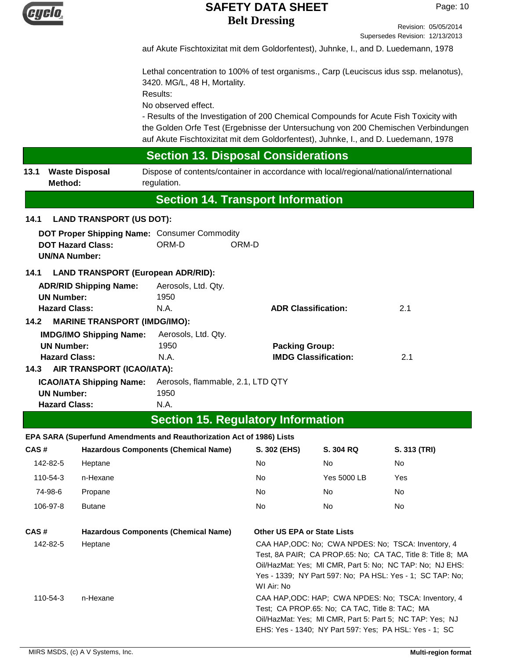

Revision: 05/05/2014 Supersedes Revision: 12/13/2013

auf Akute Fischtoxizitat mit dem Goldorfentest), Juhnke, I., and D. Luedemann, 1978

Lethal concentration to 100% of test organisms., Carp (Leuciscus idus ssp. melanotus), 3420. MG/L, 48 H, Mortality.

Results:

No observed effect.

- Results of the Investigation of 200 Chemical Compounds for Acute Fish Toxicity with the Golden Orfe Test (Ergebnisse der Untersuchung von 200 Chemischen Verbindungen auf Akute Fischtoxizitat mit dem Goldorfentest), Juhnke, I., and D. Luedemann, 1978

## **Section 13. Disposal Considerations**

**13.1 Waste Disposal** Dispose of contents/container in accordance with local/regional/national/international regulation. **Waste Disposal Method:**

## **Section 14. Transport Information**

### **14.1 LAND TRANSPORT (US DOT):**

| DOT Proper Shipping Name: Consumer Commodity |                     |                                   |  |
|----------------------------------------------|---------------------|-----------------------------------|--|
| <b>DOT Hazard Class:</b>                     | ORM-D               | ORM-D                             |  |
| <b>UN/NA Number:</b>                         |                     |                                   |  |
| LAND TRANSPORT (European ADR/RID):<br>14.1   |                     |                                   |  |
| <b>ADR/RID Shipping Name:</b>                | Aerosols, Ltd. Qty. |                                   |  |
| <b>UN Number:</b>                            | 1950                |                                   |  |
| <b>Hazard Class:</b>                         | N.A.                | 2.1<br><b>ADR Classification:</b> |  |
|                                              |                     |                                   |  |

**14.2 MARINE TRANSPORT (IMDG/IMO):**

| <b>IMDG/IMO Shipping Name:</b>                                    | Aerosols, Ltd. Qtv. |                             |     |
|-------------------------------------------------------------------|---------------------|-----------------------------|-----|
| <b>UN Number:</b>                                                 | 1950                | <b>Packing Group:</b>       |     |
| <b>Hazard Class:</b>                                              | N.A.                | <b>IMDG Classification:</b> | 2.1 |
| 14.3 AIR TRANSPORT (ICAO/IATA):                                   |                     |                             |     |
| <b>ICAO/IATA Shipping Name:</b> Aerosols, flammable, 2.1, LTD QTY |                     |                             |     |

**ICAO/IATA Shipping Name:** Aerosols, flammable, 2.1, LTD QTY **UN Number:** 1950 **Hazard Class:** N.A.

## **Section 15. Regulatory Information**

### **EPA SARA (Superfund Amendments and Reauthorization Act of 1986) Lists**

| CAS#     | <b>Hazardous Components (Chemical Name)</b> | S. 302 (EHS)                                                                                                                                                                                                                                              | <b>S. 304 RQ</b> | S. 313 (TRI) |
|----------|---------------------------------------------|-----------------------------------------------------------------------------------------------------------------------------------------------------------------------------------------------------------------------------------------------------------|------------------|--------------|
| 142-82-5 | Heptane                                     | <b>No</b>                                                                                                                                                                                                                                                 | No.              | No           |
| 110-54-3 | n-Hexane                                    | <b>No</b>                                                                                                                                                                                                                                                 | Yes 5000 LB      | Yes          |
| 74-98-6  | Propane                                     | No.                                                                                                                                                                                                                                                       | No.              | No.          |
| 106-97-8 | <b>Butane</b>                               | No.                                                                                                                                                                                                                                                       | No.              | No.          |
| CAS#     | <b>Hazardous Components (Chemical Name)</b> | <b>Other US EPA or State Lists</b>                                                                                                                                                                                                                        |                  |              |
| 142-82-5 | Heptane                                     | CAA HAP, ODC: No: CWA NPDES: No: TSCA: Inventory, 4<br>Test, 8A PAIR; CA PROP.65: No; CA TAC, Title 8: Title 8; MA<br>Oil/HazMat: Yes: MI CMR, Part 5: No: NC TAP: No: NJ EHS:<br>Yes - 1339; NY Part 597: No; PA HSL: Yes - 1; SC TAP: No;<br>WI Air: No |                  |              |
| 110-54-3 | n-Hexane                                    | CAA HAP, ODC: HAP; CWA NPDES: No; TSCA: Inventory, 4<br>Test: CA PROP.65: No: CA TAC, Title 8: TAC; MA<br>Oil/HazMat: Yes: MI CMR, Part 5: Part 5: NC TAP: Yes: NJ<br>EHS: Yes - 1340; NY Part 597: Yes; PA HSL: Yes - 1; SC                              |                  |              |